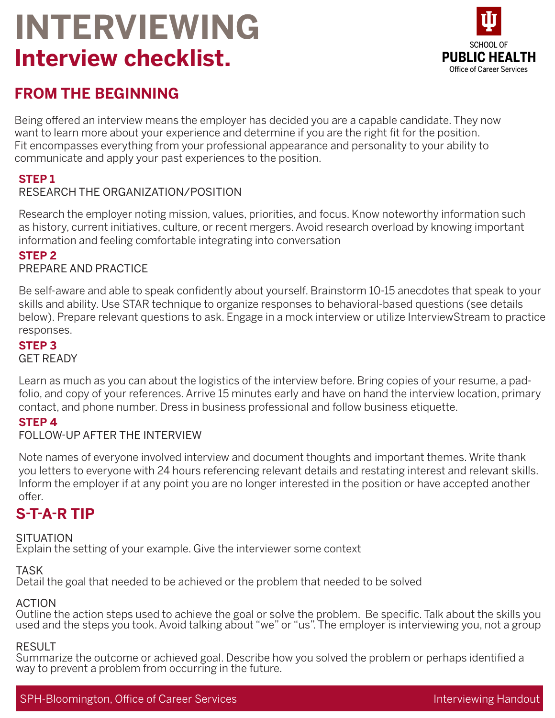# **INTERVIEWING Interview checklist.**



# **FROM THE BEGINNING**

Being offered an interview means the employer has decided you are a capable candidate. They now want to learn more about your experience and determine if you are the right fit for the position. Fit encompasses everything from your professional appearance and personality to your ability to communicate and apply your past experiences to the position.

## **STEP 1**

## RESEARCH THE ORGANIZATION/POSITION

Research the employer noting mission, values, priorities, and focus. Know noteworthy information such as history, current initiatives, culture, or recent mergers. Avoid research overload by knowing important information and feeling comfortable integrating into conversation

## **STEP 2**

#### PREPARE AND PRACTICE

Be self-aware and able to speak confidently about yourself. Brainstorm 10-15 anecdotes that speak to your skills and ability. Use STAR technique to organize responses to behavioral-based questions (see details below). Prepare relevant questions to ask. Engage in a mock interview or utilize InterviewStream to practice responses.

#### **STEP 3**

#### GET READY

Learn as much as you can about the logistics of the interview before. Bring copies of your resume, a padfolio, and copy of your references. Arrive 15 minutes early and have on hand the interview location, primary contact, and phone number. Dress in business professional and follow business etiquette.

#### **STEP 4**

## FOLLOW-UP AFTER THE INTERVIEW

Note names of everyone involved interview and document thoughts and important themes. Write thank you letters to everyone with 24 hours referencing relevant details and restating interest and relevant skills. Inform the employer if at any point you are no longer interested in the position or have accepted another offer.

# **S-T-A-R TIP**

## **SITUATION**

Explain the setting of your example. Give the interviewer some context

## TASK

Detail the goal that needed to be achieved or the problem that needed to be solved

#### ACTION

Outline the action steps used to achieve the goal or solve the problem. Be specific. Talk about the skills you used and the steps you took. Avoid talking about "we" or "us". The employer is interviewing you, not a group

#### RESULT

Summarize the outcome or achieved goal. Describe how you solved the problem or perhaps identified a way to prevent a problem from occurring in the future.